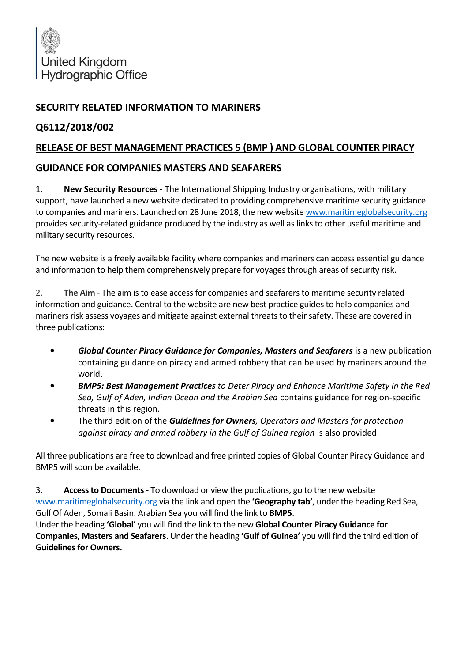

## **SECURITY RELATED INFORMATION TO MARINERS**

## **Q6112/2018/002**

## **RELEASE OF BEST MANAGEMENT PRACTICES 5 (BMP ) AND GLOBAL COUNTER PIRACY**

## **GUIDANCE FOR COMPANIES MASTERS AND SEAFARERS**

1. **New Security Resources** - The International Shipping Industry organisations, with military support, have launched a new website dedicated to providing comprehensive maritime security guidance to companies and mariners. Launched on 28 June 2018, the new website [www.maritimeglobalsecurity.org](http://www.maritimeglobalsecurity.org/) provides security-related guidance produced by the industry as well as links to other useful maritime and military security resources.

The new website is a freely available facility where companies and mariners can access essential guidance and information to help them comprehensively prepare for voyages through areas of security risk.

2. **The Aim** - The aim is to ease access for companies and seafarers to maritime security related information and guidance. Central to the website are new best practice guides to help companies and mariners risk assess voyages and mitigate against external threats to their safety. These are covered in three publications:

- *Global Counter Piracy Guidance for Companies, Masters and Seafarers* is a new publication containing guidance on piracy and armed robbery that can be used by mariners around the world.
- *BMP5: Best Management Practices to Deter Piracy and Enhance Maritime Safety in the Red Sea, Gulf of Aden, Indian Ocean and the Arabian Sea* contains guidance for region-specific threats in this region.
- The third edition of the *Guidelines for Owners, Operators and Masters for protection against piracy and armed robbery in the Gulf of Guinea region* is also provided.

All three publications are free to download and free printed copies of Global Counter Piracy Guidance and BMP5 will soon be available.

3. **Access to Documents**- To download or view the publications, go to the new website [www.maritimeglobalsecurity.org](http://www.maritimeglobalsecurity.org/) via the link and open the **'Geography tab'**, under the heading Red Sea, Gulf Of Aden, Somali Basin. Arabian Sea you will find the link to **BMP5**.

Under the heading **'Global**' you will find the link to the new **Global Counter Piracy Guidance for Companies, Masters and Seafarers**. Under the heading **'Gulf of Guinea'** you will find the third edition of **Guidelines for Owners.**